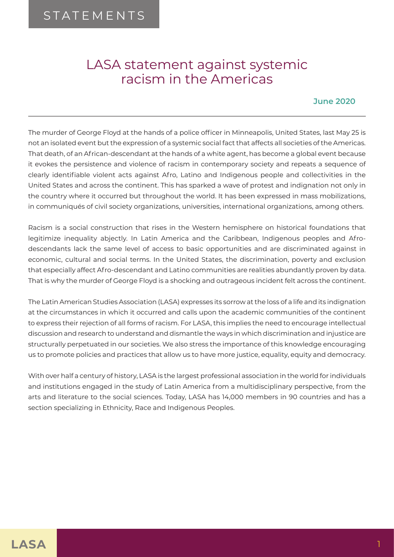## LASA statement against systemic racism in the Americas

## **June 2020**

The murder of George Floyd at the hands of a police officer in Minneapolis, United States, last May 25 is not an isolated event but the expression of a systemic social fact that affects all societies of the Americas. That death, of an African-descendant at the hands of a white agent, has become a global event because it evokes the persistence and violence of racism in contemporary society and repeats a sequence of clearly identifiable violent acts against Afro, Latino and Indigenous people and collectivities in the United States and across the continent. This has sparked a wave of protest and indignation not only in the country where it occurred but throughout the world. It has been expressed in mass mobilizations, in communiqués of civil society organizations, universities, international organizations, among others.

Racism is a social construction that rises in the Western hemisphere on historical foundations that legitimize inequality abjectly. In Latin America and the Caribbean, Indigenous peoples and Afrodescendants lack the same level of access to basic opportunities and are discriminated against in economic, cultural and social terms. In the United States, the discrimination, poverty and exclusion that especially affect Afro-descendant and Latino communities are realities abundantly proven by data. That is why the murder of George Floyd is a shocking and outrageous incident felt across the continent.

The Latin American Studies Association (LASA) expresses its sorrow at the loss of a life and its indignation at the circumstances in which it occurred and calls upon the academic communities of the continent to express their rejection of all forms of racism. For LASA, this implies the need to encourage intellectual discussion and research to understand and dismantle the ways in which discrimination and injustice are structurally perpetuated in our societies. We also stress the importance of this knowledge encouraging us to promote policies and practices that allow us to have more justice, equality, equity and democracy.

With over half a century of history, LASA is the largest professional association in the world for individuals and institutions engaged in the study of Latin America from a multidisciplinary perspective, from the arts and literature to the social sciences. Today, LASA has 14,000 members in 90 countries and has a section specializing in Ethnicity, Race and Indigenous Peoples.